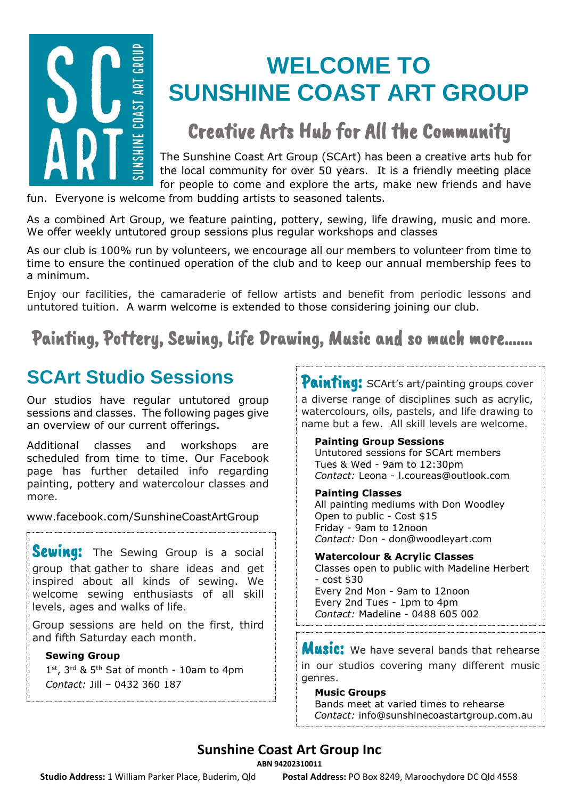

# **WELCOME TO SUNSHINE COAST ART GROUP**

## Creative Arts Hub for All the Community

The Sunshine Coast Art Group (SCArt) has been a creative arts hub for the local community for over 50 years. It is a friendly meeting place for people to come and explore the arts, make new friends and have

fun. Everyone is welcome from budding artists to seasoned talents.

As a combined Art Group, we feature painting, pottery, sewing, life drawing, music and more. We offer weekly untutored group sessions plus regular workshops and classes

As our club is 100% run by volunteers, we encourage all our members to volunteer from time to time to ensure the continued operation of the club and to keep our annual membership fees to a minimum.

Enjoy our facilities, the camaraderie of fellow artists and benefit from periodic lessons and untutored tuition. A warm welcome is extended to those considering joining our club.

### Painting, Pottery, Sewing, Life Drawing, Music and so much more…….

## **SCArt Studio Sessions**

Our studios have regular untutored group sessions and classes. The following pages give an overview of our current offerings.

Additional classes and workshops are scheduled from time to time. Our Facebook page has further detailed info regarding painting, pottery and watercolour classes and more.

[www.facebook.com/SunshineCoastArtGroup](http://www.facebook.com/SunshineCoastArtGroup)

**Sewing:** The Sewing Group is a social group that gather to share ideas and get inspired about all kinds of sewing. We welcome sewing enthusiasts of all skill levels, ages and walks of life.

Group sessions are held on the first, third and fifth Saturday each month.

#### **Sewing Group**

1st, 3rd & 5<sup>th</sup> Sat of month - 10am to 4pm *Contact:* Jill – 0432 360 187

Painting: SCArt's art/painting groups cover a diverse range of disciplines such as acrylic, watercolours, oils, pastels, and life drawing to name but a few. All skill levels are welcome.

#### **Painting Group Sessions**

Untutored sessions for SCArt members Tues  $&$  Wed - 9am to 12:30pm *Contact:* Leona - l.coureas@outlook.com

#### **Painting Classes**

All painting mediums with Don Woodley Open to public - Cost \$15 Friday - 9am to 12noon *Contact:* Don - don@woodleyart.com

**Watercolour & Acrylic Classes** Classes open to public with Madeline Herbert  $-$  cost  $$30$ Every 2nd Mon - 9am to 12noon Every 2nd Tues - 1pm to 4pm *Contact:* Madeline - 0488 605 002

**Music:** We have several bands that rehearse in our studios covering many different music genres.

#### **Music Groups**

Bands meet at varied times to rehearse  *Contact:* [info@sunshinecoastartgroup.com.au](mailto:info@sunshinecoastartgroup.com.au)

### **Sunshine Coast Art Group Inc**

**ABN 94202310011**